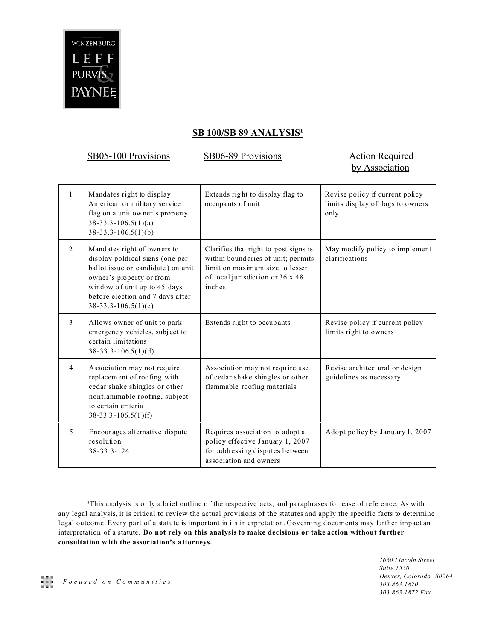

## **SB 100/SB 89 ANALYSIS<sup>1</sup>**

SB05-100 Provisions SB06-89 Provisions Action Required

## by Association

| $\mathbf{1}$            | Mandates right to display<br>American or military service<br>flag on a unit owner's property<br>$38-33.3-106.5(1)(a)$<br>$38-33.3-106.5(1)(b)$                                                                                 | Extends right to display flag to<br>occupants of unit                                                                                                         | Revise policy if current policy<br>limits display of flags to owners<br>only |
|-------------------------|--------------------------------------------------------------------------------------------------------------------------------------------------------------------------------------------------------------------------------|---------------------------------------------------------------------------------------------------------------------------------------------------------------|------------------------------------------------------------------------------|
| $\overline{2}$          | Mandates right of owners to<br>display political signs (one per<br>ballot issue or candidate) on unit<br>owner's property or from<br>window of unit up to 45 days<br>before election and 7 days after<br>$38-33.3-106.5(1)(c)$ | Clarifies that right to post signs is<br>within bound aries of unit; permits<br>limit on maximum size to lesser<br>of local jurisdiction or 36 x 48<br>inches | May modify policy to implement<br>clarifications                             |
| 3                       | Allows owner of unit to park<br>emergency vehicles, subject to<br>certain limitations<br>$38-33.3-106.5(1)(d)$                                                                                                                 | Extends right to occupants                                                                                                                                    | Revise policy if current policy<br>limits right to owners                    |
| $\overline{4}$          | Association may not require<br>replacement of roofing with<br>cedar shake shingles or other<br>nonflammable roofing, subject<br>to certain criteria<br>$38-33.3-106.5(1)(f)$                                                   | Association may not require use<br>of cedar shake shingles or other<br>flammable roofing materials                                                            | Revise architectural or design<br>guidelines as necessary                    |
| $\overline{\mathbf{5}}$ | Encourages alternative dispute<br>resolution<br>38-33.3-124                                                                                                                                                                    | Requires association to adopt a<br>policy effective January 1, 2007<br>for addressing disputes between<br>association and owners                              | Adopt policy by January 1, 2007                                              |

This analysis is only a brief outline of the respective acts, and paraphrases for ease of reference. As with any legal analysis, it is critical to review the actual provisions of the statutes and apply the specific facts to determine legal outcome. Every part of a statute is important in its interpretation. Governing documents may further impact an interpretation of a statute. **Do not rely on this analysis to make decisions or take action without further consultation w ith the association's a ttorneys.**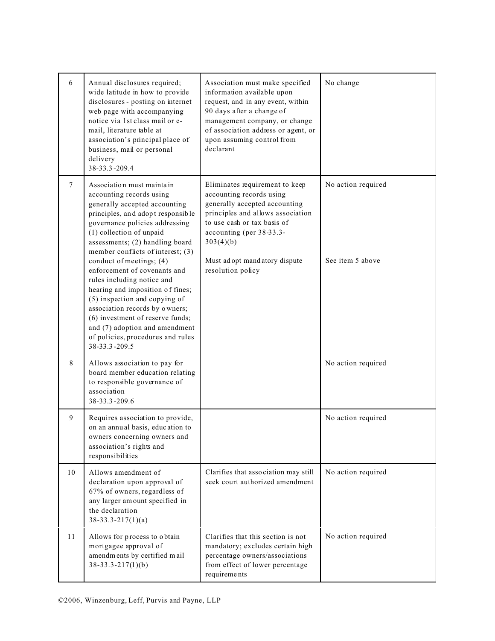| 6      | Annual disclosures required;<br>wide latitude in how to provide<br>disclosures - posting on internet<br>web page with accompanying<br>notice via 1st class mail or e-<br>mail, literature table at<br>association's principal place of<br>business, mail or personal<br>delivery<br>38-33.3-209.4                              | Association must make specified<br>information available upon<br>request, and in any event, within<br>90 days after a change of<br>management company, or change<br>of association address or agent, or<br>upon assuming control from<br>declarant             | No change                              |
|--------|--------------------------------------------------------------------------------------------------------------------------------------------------------------------------------------------------------------------------------------------------------------------------------------------------------------------------------|----------------------------------------------------------------------------------------------------------------------------------------------------------------------------------------------------------------------------------------------------------------|----------------------------------------|
| $\tau$ | Association must mainta in<br>accounting records using<br>generally accepted accounting<br>principles, and adopt responsible<br>governance policies addressing<br>(1) collection of unpaid<br>assessments; (2) handling board<br>member conflicts of interest; (3)<br>conduct of meetings; (4)<br>enforcement of covenants and | Eliminates requirement to keep<br>accounting records using<br>generally accepted accounting<br>principles and allows association<br>to use cash or tax basis of<br>accounting (per 38-33.3-<br>303(4)(b)<br>Must adopt mand atory dispute<br>resolution policy | No action required<br>See item 5 above |
|        | rules including notice and<br>hearing and imposition of fines;<br>(5) inspection and copying of<br>association records by owners;<br>(6) investment of reserve funds;<br>and (7) adoption and amendment<br>of policies, procedures and rules<br>38-33.3-209.5                                                                  |                                                                                                                                                                                                                                                                |                                        |
| 8      | Allows association to pay for<br>board member education relating<br>to responsible governance of<br>association<br>38-33.3-209.6                                                                                                                                                                                               |                                                                                                                                                                                                                                                                | No action required                     |
| 9      | Requires association to provide,<br>on an annual basis, education to<br>owners concerning owners and<br>association's rights and<br>responsibilities                                                                                                                                                                           |                                                                                                                                                                                                                                                                | No action required                     |
| 10     | Allows amendment of<br>declaration upon approval of<br>67% of owners, regardless of<br>any larger amount specified in<br>the declaration<br>$38-33.3-217(1)(a)$                                                                                                                                                                | Clarifies that association may still<br>seek court authorized amendment                                                                                                                                                                                        | No action required                     |
| 11     | Allows for process to obtain<br>mortgagee approval of<br>amendments by certified mail<br>$38 - 33.3 - 217(1)(b)$                                                                                                                                                                                                               | Clarifies that this section is not<br>mandatory; excludes certain high<br>percentage owners/associations<br>from effect of lower percentage<br>requirements                                                                                                    | No action required                     |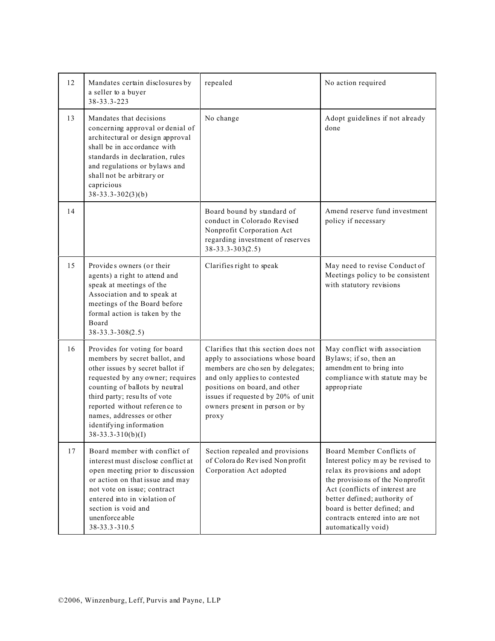| 12 | Mandates certain disclosures by<br>a seller to a buyer<br>38-33.3-223                                                                                                                                                                                                                                                    | repealed                                                                                                                                                                                                                                                         | No action required                                                                                                                                                                                                                                                                             |
|----|--------------------------------------------------------------------------------------------------------------------------------------------------------------------------------------------------------------------------------------------------------------------------------------------------------------------------|------------------------------------------------------------------------------------------------------------------------------------------------------------------------------------------------------------------------------------------------------------------|------------------------------------------------------------------------------------------------------------------------------------------------------------------------------------------------------------------------------------------------------------------------------------------------|
| 13 | Mandates that decisions<br>concerning approval or denial of<br>architectural or design approval<br>shall be in accordance with<br>standards in declaration, rules<br>and regulations or bylaws and<br>shall not be arbitrary or<br>capricious<br>$38 - 33.3 - 302(3)(b)$                                                 | No change                                                                                                                                                                                                                                                        | Adopt guidelines if not already<br>done                                                                                                                                                                                                                                                        |
| 14 |                                                                                                                                                                                                                                                                                                                          | Board bound by standard of<br>conduct in Colorado Revised<br>Nonprofit Corporation Act<br>regarding investment of reserves<br>$38 - 33.3 - 303(2.5)$                                                                                                             | Amend reserve fund investment<br>policy if necessary                                                                                                                                                                                                                                           |
| 15 | Provides owners (or their<br>agents) a right to attend and<br>speak at meetings of the<br>Association and to speak at<br>meetings of the Board before<br>formal action is taken by the<br>Board<br>$38 - 33.3 - 308(2.5)$                                                                                                | Clarifies right to speak                                                                                                                                                                                                                                         | May need to revise Conduct of<br>Meetings policy to be consistent<br>with statutory revisions                                                                                                                                                                                                  |
| 16 | Provides for voting for board<br>members by secret ballot, and<br>other issues by secret ballot if<br>requested by any owner; requires<br>counting of ballots by neutral<br>third party; results of vote<br>reported without reference to<br>names, addresses or other<br>identifying information<br>$38-33.3-310(b)(I)$ | Clarifies that this section does not<br>apply to associations whose board<br>members are chosen by delegates;<br>and only applies to contested<br>positions on board, and other<br>issues if requested by 20% of unit<br>owners present in person or by<br>proxy | May conflict with association<br>Bylaws; if so, then an<br>amendment to bring into<br>compliance with statute may be<br>approp riate                                                                                                                                                           |
| 17 | Board member with conflict of<br>interest must disclose conflict at<br>open meeting prior to discussion<br>or action on that issue and may<br>not vote on issue; contract<br>entered into in violation of<br>section is void and<br>unenforceable<br>38-33.3-310.5                                                       | Section repealed and provisions<br>of Colorado Revised Nonprofit<br>Corporation Act adopted                                                                                                                                                                      | Board Member Conflicts of<br>Interest policy may be revised to<br>relax its provisions and adopt<br>the provisions of the Nonprofit<br>Act (conflicts of interest are<br>better defined; authority of<br>board is better defined; and<br>contracts entered into are not<br>automatically void) |